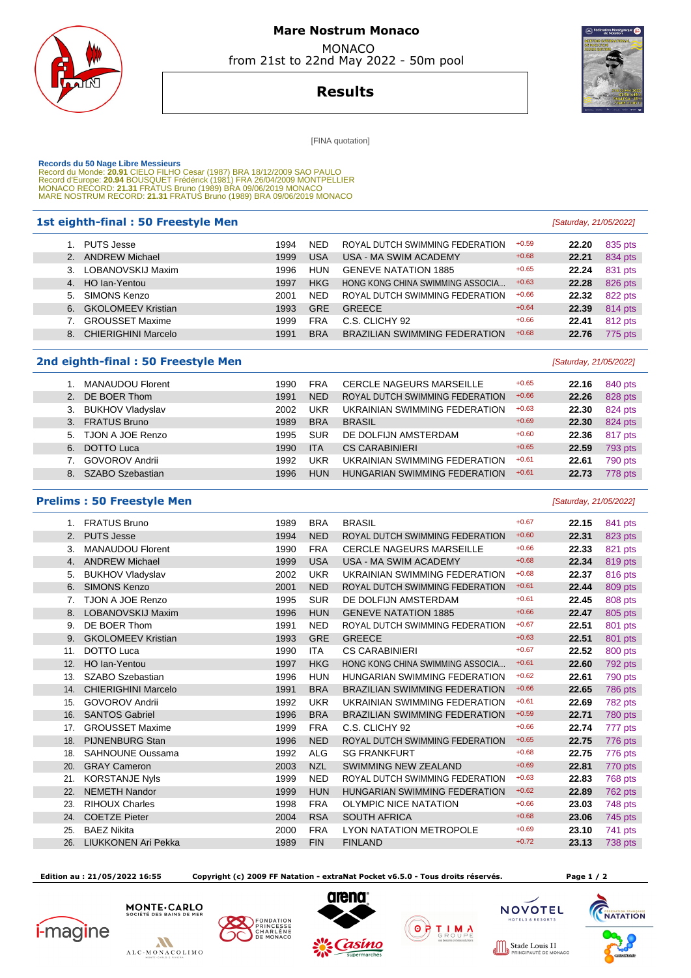

# **Mare Nostrum Monaco**  MONACO

from 21st to 22nd May 2022 - 50m pool



**Results**

**IFINA** quotation]

 **Records du 50 Nage Libre Messieurs**  Record du Monde: **20.91** CIELO FILHO Cesar (1987) BRA 18/12/2009 SAO PAULO Record d'Europe: **20.94** BOUSQUET Frédérick (1981) FRA 26/04/2009 MONTPELLIER MONACO RECORD: **21.31** FRATUS Bruno (1989) BRA 09/06/2019 MONACO MARE NOSTRUM RECORD: **21.31** FRATUS Bruno (1989) BRA 09/06/2019 MONACO

### **1st eighth-final : 50 Freestyle Men Manual Community Community** (Saturday, 21/05/2022)

|                | <b>PUTS Jesse</b>          | 1994 | NED        | ROYAL DUTCH SWIMMING FEDERATION      | $+0.59$ | 22.20 | 835 pts |
|----------------|----------------------------|------|------------|--------------------------------------|---------|-------|---------|
| 2.             | <b>ANDREW Michael</b>      | 1999 | USA        | USA - MA SWIM ACADEMY                | $+0.68$ | 22.21 | 834 pts |
| 3 <sub>1</sub> | LOBANOVSKIJ Maxim          | 1996 | <b>HUN</b> | <b>GENEVE NATATION 1885</b>          | $+0.65$ | 22.24 | 831 pts |
|                | 4. HO lan-Yentou           | 1997 | <b>HKG</b> | HONG KONG CHINA SWIMMING ASSOCIA     | $+0.63$ | 22.28 | 826 pts |
| 5.             | SIMONS Kenzo               | 2001 | <b>NED</b> | ROYAL DUTCH SWIMMING FEDERATION      | $+0.66$ | 22.32 | 822 pts |
| 6.             | <b>GKOLOMEEV Kristian</b>  | 1993 | <b>GRE</b> | <b>GREECE</b>                        | $+0.64$ | 22.39 | 814 pts |
|                | <b>GROUSSET Maxime</b>     | 1999 | <b>FRA</b> | C.S. CLICHY 92                       | $+0.66$ | 22.41 | 812 pts |
| 8.             | <b>CHIERIGHINI Marcelo</b> | 1991 | <b>BRA</b> | <b>BRAZILIAN SWIMMING FEDERATION</b> | $+0.68$ | 22.76 | 775 pts |
|                |                            |      |            |                                      |         |       |         |

### **2nd eighth-final : 50 Freestyle Men Example 2nd eighth-final : 50 Freestyle Men**

|    | <b>MANAUDOU Florent</b> | 1990 | FRA        | <b>CERCLE NAGEURS MARSEILLE</b> | $+0.65$ | 22.16 | 840 pts |
|----|-------------------------|------|------------|---------------------------------|---------|-------|---------|
| 2. | DE BOER Thom            | 1991 | <b>NED</b> | ROYAL DUTCH SWIMMING FEDERATION | $+0.66$ | 22.26 | 828 pts |
| 3. | <b>BUKHOV Vladyslav</b> | 2002 | UKR        | UKRAINIAN SWIMMING FEDERATION   | $+0.63$ | 22.30 | 824 pts |
| 3. | <b>FRATUS Bruno</b>     | 1989 | <b>BRA</b> | <b>BRASIL</b>                   | $+0.69$ | 22.30 | 824 pts |
|    | 5. TJON A JOE Renzo     | 1995 | <b>SUR</b> | DE DOLFIJN AMSTERDAM            | $+0.60$ | 22.36 | 817 pts |
| 6. | <b>DOTTO Luca</b>       | 1990 | <b>ITA</b> | <b>CS CARABINIERI</b>           | $+0.65$ | 22.59 | 793 pts |
|    | <b>GOVOROV Andrii</b>   | 1992 | UKR        | UKRAINIAN SWIMMING FEDERATION   | $+0.61$ | 22.61 | 790 pts |
| 8  | <b>SZABO Szebastian</b> | 1996 | <b>HUN</b> | HUNGARIAN SWIMMING FEDERATION   | $+0.61$ | 22.73 | 778 pts |

#### **Prelims : 50 Freestyle Men Example 2018 Calcular 21/05/2022 Caturday**, 21/05/2022]

1. FRATUS Bruno 1989 BRA BRASIL **1989 BRA BRASIL** 1. FRATUS 841 pts 2. PUTS Jesse 22.31 **22.31 <b>22.31** 22.31 **1994** NED ROYAL DUTCH SWIMMING FEDERATION +0.60 **22.31 22.31**  3. MANAUDOU Florent 1990 FRA CERCLE NAGEURS MARSEILLE +0.66 **22.33** 821 pts 4. ANDREW Michael **1999 USA USA - MA SWIM ACADEMY** +0.68 **22.34** 819 pts 5. BUKHOV Vladyslav 2002 UKR UKRAINIAN SWIMMING FEDERATION +0.68 **22.37** 816 pts 6. SIMONS Kenzo 2001 NED ROYAL DUTCH SWIMMING FEDERATION +0.61 **22.44** 809 pts 7. TJON A JOE Renzo **1995 SUR** DE DOLFIJN AMSTERDAM  $+0.61$  **22.45** 808 pts 8. LOBANOVSKIJ Maxim **1996 HUN GENEVE NATATION 1885** +0.66 **22.47** 805 pts 9. DE BOER Thom 1991 NED ROYAL DUTCH SWIMMING FEDERATION +0.67 **22.51** 801 pts 9. GKOLOMEEV Kristian **1993** GRE GREECE +10.63 **22.51** 801 pts 11. DOTTO Luca **1990 ITA CS CARABINIERI** +0.67 **22.52** 800 pts 12. HO Ian-Yentou 1997 HKG HONG KONG CHINA SWIMMING ASSOCIA... +0.61 **22.60** 792 pts 13. SZABO Szebastian 1996 HUN HUNGARIAN SWIMMING FEDERATION +0.62 **22.61** 790 pts 14. CHIERIGHINI Marcelo 1991 BRA BRAZILIAN SWIMMING FEDERATION +0.66 **22.65** 786 pts 15. GOVOROV Andrii 1992 UKR UKRAINIAN SWIMMING FEDERATION +0.61 **22.69** 782 pts 16. SANTOS Gabriel 1996 BRA BRAZILIAN SWIMMING FEDERATION +0.59 **22.71** 780 pts 17. GROUSSET Maxime **1999 FRA** C.S. CLICHY 92 +0.66 **22.74** 777 pts 18. PIJNENBURG Stan 1996 NED ROYAL DUTCH SWIMMING FEDERATION +0.65 **22.75** 776 pts 18. SAHNOUNE Oussama **1992 ALG SG FRANKFURT** +0.68 **22.75** 776 pts 20. GRAY Cameron 2003 NZL SWIMMING NEW ZEALAND +0.69 **22.81** 770 pts 21. KORSTANJE Nyls 1999 NED ROYAL DUTCH SWIMMING FEDERATION +0.63 **22.83** 768 pts 22. NEMETH Nandor 1999 HUN HUNGARIAN SWIMMING FEDERATION +0.62 **22.89** 762 pts 23. RIHOUX Charles **1998 FRA OLYMPIC NICE NATATION** +0.66 **23.03** 748 pts 24. COETZE Pieter 2004 RSA SOUTH AFRICA +0.68 **23.06** 745 pts 25. BAEZ Nikita 2000 FRA LYON NATATION METROPOLE +0.69 **23.10** 741 pts 26. LIUKKONEN Ari Pekka 1989 FIN FINLAND +0.72 **23.13** 738 pts

 **Edition au : 21/05/2022 16:55 Copyright (c) 2009 FF Natation - extraNat Pocket v6.5.0 - Tous droits réservés. Page 1 / 2** 

Stade Louis II